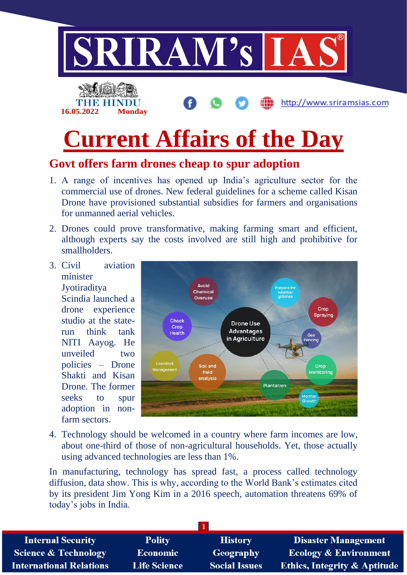

## **Govt offers farm drones cheap to spur adoption**

- 1. A range of incentives has opened up India's agriculture sector for the commercial use of drones. New federal guidelines for a scheme called Kisan Drone have provisioned substantial subsidies for farmers and organisations for unmanned aerial vehicles.
- 2. Drones could prove transformative, making farming smart and efficient, although experts say the costs involved are still high and prohibitive for smallholders.
- 3. Civil aviation minister **Jyotiraditya** Scindia launched a drone experience studio at the staterun think tank NITI Aayog. He unveiled two policies – Drone Shakti and Kisan Drone. The former seeks to spur adoption in nonfarm sectors.



4. Technology should be welcomed in a country where farm incomes are low, about one-third of those of non-agricultural households. Yet, those actually using advanced technologies are less than 1%.

In manufacturing, technology has spread fast, a process called technology diffusion, data show. This is why, according to the World Bank's estimates cited by its president Jim Yong Kim in a 2016 speech, automation threatens 69% of today's jobs in India.

| <b>Internal Security</b>        | <b>Polity</b>       | <b>History</b>       | <b>Disaster Management</b>              |
|---------------------------------|---------------------|----------------------|-----------------------------------------|
| <b>Science &amp; Technology</b> | <b>Economic</b>     | Geography            | <b>Ecology &amp; Environment</b>        |
| <b>International Relations</b>  | <b>Life Science</b> | <b>Social Issues</b> | <b>Ethics, Integrity &amp; Aptitude</b> |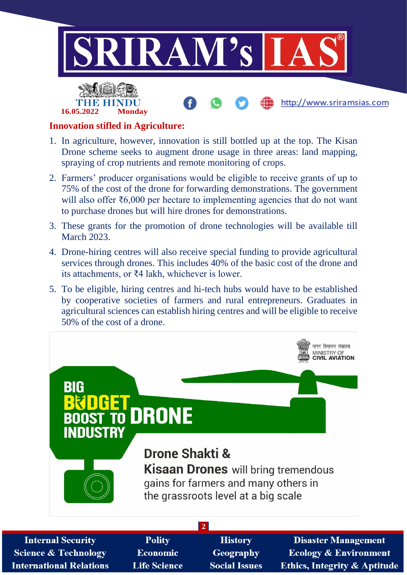



## http://www.sriramsias.com

#### **Innovation stifled in Agriculture:**

- 1. In agriculture, however, innovation is still bottled up at the top. The Kisan Drone scheme seeks to augment drone usage in three areas: land mapping, spraying of crop nutrients and remote monitoring of crops.
- 2. Farmers' producer organisations would be eligible to receive grants of up to 75% of the cost of the drone for forwarding demonstrations. The government will also offer ₹6,000 per hectare to implementing agencies that do not want to purchase drones but will hire drones for demonstrations.
- 3. These grants for the promotion of drone technologies will be available till March 2023.
- 4. Drone-hiring centres will also receive special funding to provide agricultural services through drones. This includes 40% of the basic cost of the drone and its attachments, or ₹4 lakh, whichever is lower.
- 5. To be eligible, hiring centres and hi-tech hubs would have to be established by cooperative societies of farmers and rural entrepreneurs. Graduates in agricultural sciences can establish hiring centres and will be eligible to receive 50% of the cost of a drone.



| <b>Internal Security</b>        |
|---------------------------------|
| <b>Science &amp; Technology</b> |
| International Relations         |

- **Polity Economic Life Science**
- **History** Geography **Social Issues**
- **Disaster Management Ecology & Environment** Ethics, Integrity & Aptitude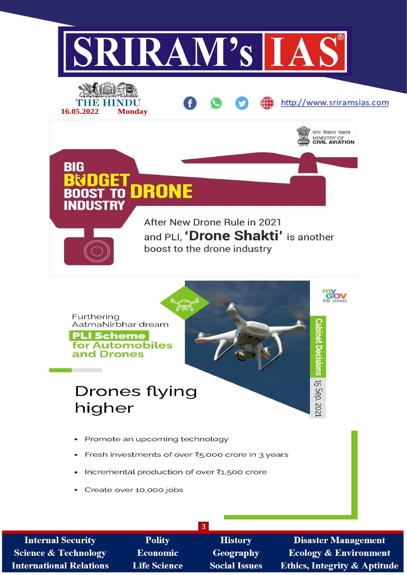

**Internal Security Polity History Disaster Management Economic Science & Technology Geography Ecology & Environment Life Science Ethics, Integrity & Aptitude International Relations Social Issues**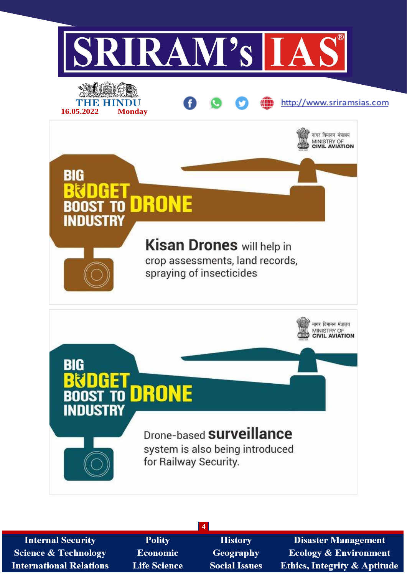

| <b>Internal Security</b>        | <b>Polity</b>       | <b>History</b>       | <b>Disaster Management</b>             |
|---------------------------------|---------------------|----------------------|----------------------------------------|
| <b>Science &amp; Technology</b> | <b>Economic</b>     | Geography            | <b>Ecology &amp; Environment</b>       |
| <b>International Relations</b>  | <b>Life Science</b> | <b>Social Issues</b> | <b>Ethics, Integrity &amp; Aptitud</b> |

**4**

le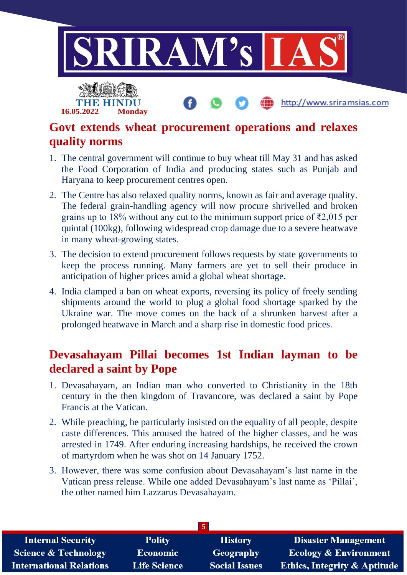

#### **Govt extends wheat procurement operations and relaxes quality norms**

- 1. The central government will continue to buy wheat till May 31 and has asked the Food Corporation of India and producing states such as Punjab and Haryana to keep procurement centres open.
- 2. The Centre has also relaxed quality norms, known as fair and average quality. The federal grain-handling agency will now procure shrivelled and broken grains up to 18% without any cut to the minimum support price of  $\bar{\epsilon}2,015$  per quintal (100kg), following widespread crop damage due to a severe heatwave in many wheat-growing states.
- 3. The decision to extend procurement follows requests by state governments to keep the process running. Many farmers are yet to sell their produce in anticipation of higher prices amid a global wheat shortage.
- 4. India clamped a ban on wheat exports, reversing its policy of freely sending shipments around the world to plug a global food shortage sparked by the Ukraine war. The move comes on the back of a shrunken harvest after a prolonged heatwave in March and a sharp rise in domestic food prices.

### **Devasahayam Pillai becomes 1st Indian layman to be declared a saint by Pope**

- 1. Devasahayam, an Indian man who converted to Christianity in the 18th century in the then kingdom of Travancore, was declared a saint by Pope Francis at the Vatican.
- 2. While preaching, he particularly insisted on the equality of all people, despite caste differences. This aroused the hatred of the higher classes, and he was arrested in 1749. After enduring increasing hardships, he received the crown of martyrdom when he was shot on 14 January 1752.
- 3. However, there was some confusion about Devasahayam's last name in the Vatican press release. While one added Devasahayam's last name as 'Pillai', the other named him Lazzarus Devasahayam.

| <b>Internal Security</b>        | <b>Polity</b>       | <b>History</b>       | <b>Disaster Management</b>              |
|---------------------------------|---------------------|----------------------|-----------------------------------------|
| <b>Science &amp; Technology</b> | <b>Economic</b>     | <b>Geography</b>     | <b>Ecology &amp; Environment</b>        |
| <b>International Relations</b>  | <b>Life Science</b> | <b>Social Issues</b> | <b>Ethics, Integrity &amp; Aptitude</b> |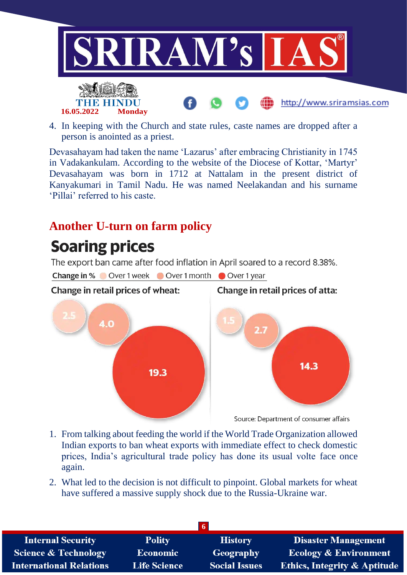

4. In keeping with the Church and state rules, caste names are dropped after a person is anointed as a priest.

Devasahayam had taken the name 'Lazarus' after embracing Christianity in 1745 in Vadakankulam. According to the website of the Diocese of Kottar, 'Martyr' Devasahayam was born in 1712 at Nattalam in the present district of Kanyakumari in Tamil Nadu. He was named Neelakandan and his surname 'Pillai' referred to his caste.

### **Another U-turn on farm policy**

# **Soaring prices**

The export ban came after food inflation in April soared to a record 8.38%.

Change in % Over 1 week Over 1 month Over 1 year



- 1. From talking about feeding the world if the World Trade Organization allowed Indian exports to ban wheat exports with immediate effect to check domestic prices, India's agricultural trade policy has done its usual volte face once again.
- 2. What led to the decision is not difficult to pinpoint. Global markets for wheat have suffered a massive supply shock due to the Russia-Ukraine war.

| I б.                            |                     |                      |                                         |
|---------------------------------|---------------------|----------------------|-----------------------------------------|
| <b>Internal Security</b>        | <b>Polity</b>       | <b>History</b>       | Disaster Management                     |
| <b>Science &amp; Technology</b> | <b>Economic</b>     | Geography            | <b>Ecology &amp; Environment</b>        |
| <b>International Relations</b>  | <b>Life Science</b> | <b>Social Issues</b> | <b>Ethics, Integrity &amp; Aptitude</b> |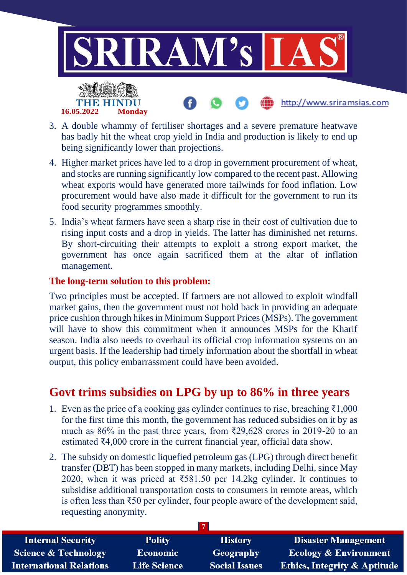

- 3. A double whammy of fertiliser shortages and a severe premature heatwave has badly hit the wheat crop yield in India and production is likely to end up being significantly lower than projections.
- 4. Higher market prices have led to a drop in government procurement of wheat, and stocks are running significantly low compared to the recent past. Allowing wheat exports would have generated more tailwinds for food inflation. Low procurement would have also made it difficult for the government to run its food security programmes smoothly.
- 5. India's wheat farmers have seen a sharp rise in their cost of cultivation due to rising input costs and a drop in yields. The latter has diminished net returns. By short-circuiting their attempts to exploit a strong export market, the government has once again sacrificed them at the altar of inflation management.

#### **The long-term solution to this problem:**

Two principles must be accepted. If farmers are not allowed to exploit windfall market gains, then the government must not hold back in providing an adequate price cushion through hikes in Minimum Support Prices (MSPs). The government will have to show this commitment when it announces MSPs for the Kharif season. India also needs to overhaul its official crop information systems on an urgent basis. If the leadership had timely information about the shortfall in wheat output, this policy embarrassment could have been avoided.

#### **Govt trims subsidies on LPG by up to 86% in three years**

- 1. Even as the price of a cooking gas cylinder continues to rise, breaching ₹1,000 for the first time this month, the government has reduced subsidies on it by as much as 86% in the past three years, from ₹29,628 crores in 2019-20 to an estimated ₹4,000 crore in the current financial year, official data show.
- 2. The subsidy on domestic liquefied petroleum gas (LPG) through direct benefit transfer (DBT) has been stopped in many markets, including Delhi, since May 2020, when it was priced at  $\overline{581.50}$  per 14.2kg cylinder. It continues to subsidise additional transportation costs to consumers in remote areas, which is often less than ₹50 per cylinder, four people aware of the development said, requesting anonymity.

| <b>Internal Security</b>        | <b>Polity</b>       | <b>History</b>       | <b>Disaster Management</b>              |
|---------------------------------|---------------------|----------------------|-----------------------------------------|
| <b>Science &amp; Technology</b> | <b>Economic</b>     | Geography            | Ecology & Environment                   |
| <b>International Relations</b>  | <b>Life Science</b> | <b>Social Issues</b> | <b>Ethics, Integrity &amp; Aptitude</b> |